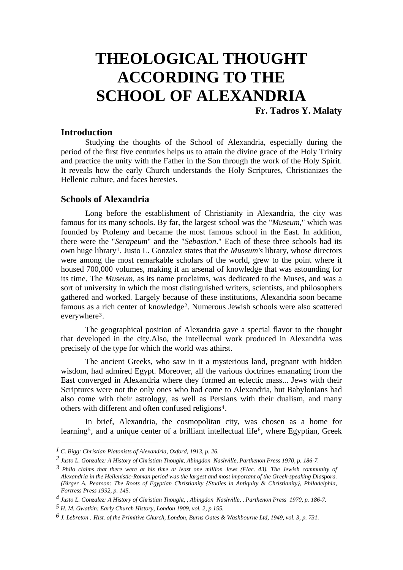# **THEOLOGICAL THOUGHT ACCORDING TO THE SCHOOL OF ALEXANDRIA**

**Fr. Tadros Y. Malaty** 

## **Introduction**

 Studying the thoughts of the School of Alexandria, especially during the period of the first five centuries helps us to attain the divine grace of the Holy Trinity and practice the unity with the Father in the Son through the work of the Holy Spirit. It reveals how the early Church understands the Holy Scriptures, Christianizes the Hellenic culture, and faces heresies.

# **Schools of Alexandria**

 Long before the establishment of Christianity in Alexandria, the city was famous for its many schools. By far, the largest school was the "*Museum*," which was founded by Ptolemy and became the most famous school in the East. In addition, there were the "*Serapeum*" and the "*Sebastion*." Each of these three schools had its own huge librar[y1](#page-0-0). Justo L. Gonzalez states that the *Museum's* library, whose directors were among the most remarkable scholars of the world, grew to the point where it housed 700,000 volumes, making it an arsenal of knowledge that was astounding for its time. The *Museum*, as its name proclaims, was dedicated to the Muses, and was a sort of university in which the most distinguished writers, scientists, and philosophers gathered and worked. Largely because of these institutions, Alexandria soon became famous as a rich center of knowledge[2](#page-0-1). Numerous Jewish schools were also scattered everywher[e3](#page-0-2).

 The geographical position of Alexandria gave a special flavor to the thought that developed in the city.Also, the intellectual work produced in Alexandria was precisely of the type for which the world was athirst.

The ancient Greeks, who saw in it a mysterious land, pregnant with hidden wisdom, had admired Egypt. Moreover, all the various doctrines emanating from the East converged in Alexandria where they formed an eclectic mass... Jews with their Scriptures were not the only ones who had come to Alexandria, but Babylonians had also come with their astrology, as well as Persians with their dualism, and many others with different and often confused religions[4](#page-0-3).

In brief, Alexandria, the cosmopolitan city, was chosen as a home for learning<sup>[5](#page-0-4)</sup>, and a unique center of a brilliant intellectual life<sup>[6](#page-0-5)</sup>, where Egyptian, Greek

<span id="page-0-0"></span>*<sup>1</sup> C. Bigg: Christian Platonists of Alexandria, Oxford, 1913, p. 26.* 

<span id="page-0-1"></span>*<sup>2</sup> Justo L. Gonzalez: A History of Christian Thought, Abingdon Nashville, Parthenon Press 1970, p. 186-7.* 

<span id="page-0-2"></span>*<sup>3</sup> Philo claims that there were at his time at least one million Jews (Flac. 43). The Jewish community of Alexandria in the Hellenistic-Roman period was the largest and most important of the Greek-speaking Diaspora. (Birger A. Pearson: The Roots of Egyptian Christianity {Studies in Antiquity & Christianity}, Philadelphia, Fortress Press 1992, p. 145.* 

<span id="page-0-3"></span>*<sup>4</sup> Justo L. Gonzalez: A History of Christian Thought, , Abingdon Nashville, , Parthenon Press 1970, p. 186-7.* 

<span id="page-0-4"></span>*<sup>5</sup> H. M. Gwatkin: Early Church History, London 1909, vol. 2, p.155.* 

<span id="page-0-5"></span>*<sup>6</sup> J. Lebreton : Hist. of the Primitive Church, London, Burns Oates & Washbourne Ltd, 1949, vol. 3, p. 731.*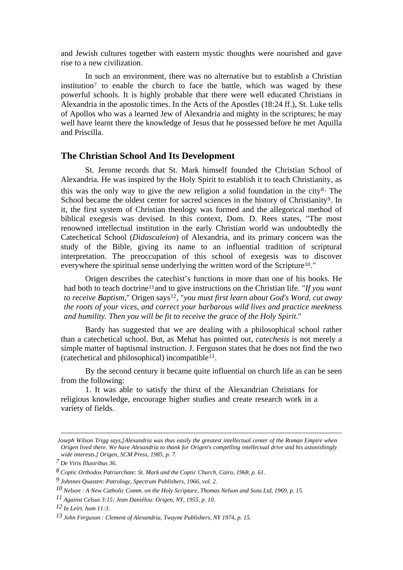and Jewish cultures together with eastern mystic thoughts were nourished and gave rise to a new civilization.

 In such an environment, there was no alternative but to establish a Christian institution[7](#page-1-0) to enable the church to face the battle, which was waged by these powerful schools. It is highly probable that there were well educated Christians in Alexandria in the apostolic times. In the Acts of the Apostles (18:24 ff.), St. Luke tells of Apollos who was a learned Jew of Alexandria and mighty in the scriptures; he may well have learnt there the knowledge of Jesus that he possessed before he met Aquilla and Priscilla.

# **The Christian School And Its Development**

 St. Jerome records that St. Mark himself founded the Christian School of Alexandria. He was inspired by the Holy Spirit to establish it to teach Christianity, as this was the only way to give the new religion a solid foundation in the city<sup>[8](#page-1-1)</sup>. The School became the oldest center for sacred sciences in the history of Christianity<sup>[9](#page-1-2)</sup>. In it, the first system of Christian theology was formed and the allegorical method of biblical exegesis was devised. In this context, Dom. D. Rees states, "The most renowned intellectual institution in the early Christian world was undoubtedly the Catechetical School (*Didascaleion*) of Alexandria, and its primary concern was the study of the Bible, giving its name to an influential tradition of scriptural interpretation. The preoccupation of this school of exegesis was to discover everywhere the spiritual sense underlying the written word of the Scripture<sup>[10](#page-1-3)</sup>."

 Origen describes the catechist's functions in more than one of his books. He had both to teach doctrine[11](#page-1-4)and to give instructions on the Christian life. "*If you want to receive Baptism*," Origen says<sup>[12](#page-1-5)</sup>, "*you must first learn about God's Word, cut away the roots of your vices, and correct your barbarous wild lives and practice meekness and humility. Then you will be fit to receive the grace of the Holy Spirit.*"

 Bardy has suggested that we are dealing with a philosophical school rather than a catechetical school. But, as Mehat has pointed out, *catechesis* is not merely a simple matter of baptismal instruction. J. Ferguson states that he does not find the two (catechetical and philosophical) incompatible[13](#page-1-6).

 By the second century it became quite influential on church life as can be seen from the following:

 1. It was able to satisfy the thirst of the Alexandrian Christians for religious knowledge, encourage higher studies and create research work in a variety of fields.

*Joseph Wilson Trigg says,[Alexandria was thus easily the greatest intellectual center of the Roman Empire when Origen lived there. We have Alexandria to thank for Origen's compelling intellectual drive and his astonishingly wide interests.] Origen, SCM Press, 1985, p. 7.* 

<span id="page-1-0"></span>*<sup>7</sup> De Viris Illustribus 36.* 

<span id="page-1-1"></span>*<sup>8</sup> Coptic Orthodox Patriarchate: St. Mark and the Coptic Church, Cairo, 1968, p. 61.* 

<span id="page-1-2"></span>*<sup>9</sup> Johnnes Quasten: Patrology, Spectrum Publishers, 1966, vol. 2.* 

<span id="page-1-3"></span>*<sup>10</sup> Nelson : A New Catholic Comm. on the Holy Scripture, Thomas Nelson and Sons Ltd, 1969, p. 15.* 

<span id="page-1-4"></span>*<sup>11</sup> Against Celsus 3:15; Jean Daniélou: Origen, NY, 1955, p. 10.* 

<span id="page-1-5"></span>*<sup>12</sup> In Leirt. hom 11:3.* 

<span id="page-1-6"></span>*<sup>13</sup> John Ferguson : Clement of Alexandria, Twayne Publishers, NY 1974, p. 15.*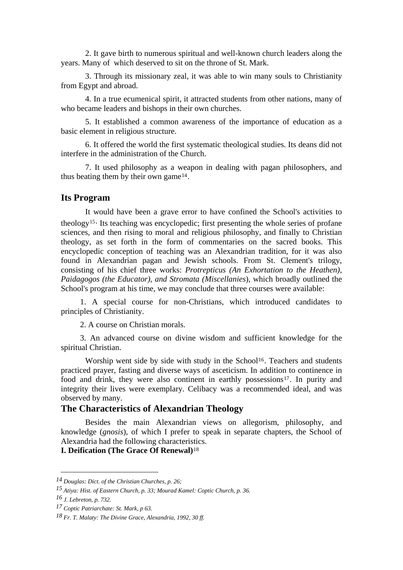2. It gave birth to numerous spiritual and well-known church leaders along the years. Many of which deserved to sit on the throne of St. Mark.

 3. Through its missionary zeal, it was able to win many souls to Christianity from Egypt and abroad.

 4. In a true ecumenical spirit, it attracted students from other nations, many of who became leaders and bishops in their own churches.

 5. It established a common awareness of the importance of education as a basic element in religious structure.

 6. It offered the world the first systematic theological studies. Its deans did not interfere in the administration of the Church.

 7. It used philosophy as a weapon in dealing with pagan philosophers, and thus beating them by their own game[14](#page-2-0).

#### **Its Program**

 It would have been a grave error to have confined the School's activities to theolog[y15](#page-2-1). Its teaching was encyclopedic; first presenting the whole series of profane sciences, and then rising to moral and religious philosophy, and finally to Christian theology, as set forth in the form of commentaries on the sacred books. This encyclopedic conception of teaching was an Alexandrian tradition, for it was also found in Alexandrian pagan and Jewish schools. From St. Clement's trilogy, consisting of his chief three works: *Protrepticus (An Exhortation to the Heathen), Paidagogos (the Educator), and Stromata (Miscellanies*), which broadly outlined the School's program at his time, we may conclude that three courses were available:

 1. A special course for non-Christians, which introduced candidates to principles of Christianity.

2. A course on Christian morals.

 3. An advanced course on divine wisdom and sufficient knowledge for the spiritual Christian.

Worship went side by side with study in the School<sup>[16](#page-2-2)</sup>. Teachers and students practiced prayer, fasting and diverse ways of asceticism. In addition to continence in food and drink, they were also continent in earthly possessions<sup>17</sup>. In purity and integrity their lives were exemplary. Celibacy was a recommended ideal, and was observed by many.

# **The Characteristics of Alexandrian Theology**

 Besides the main Alexandrian views on allegorism, philosophy, and knowledge (*gnosis*), of which I prefer to speak in separate chapters, the School of Alexandria had the following characteristi[c](#page-2-4)s.

## **I. Deification (The Grace Of Renewal)**[18](#page-2-4)

<span id="page-2-0"></span>*<sup>14</sup> Douglas: Dict. of the Christian Churches, p. 26;* 

<span id="page-2-1"></span>*<sup>15</sup> Atiya: Hist. of Eastern Church, p. 33; Mourad Kamel: Coptic Church, p. 36.* 

<span id="page-2-2"></span>*<sup>16</sup> J. Lebreton, p. 732.* 

<span id="page-2-3"></span>*<sup>17</sup> Coptic Patriarchate: St. Mark, p 63.* 

<span id="page-2-4"></span>*<sup>18</sup> Fr. T. Malaty: The Divine Grace, Alexandria, 1992, 30 ff.*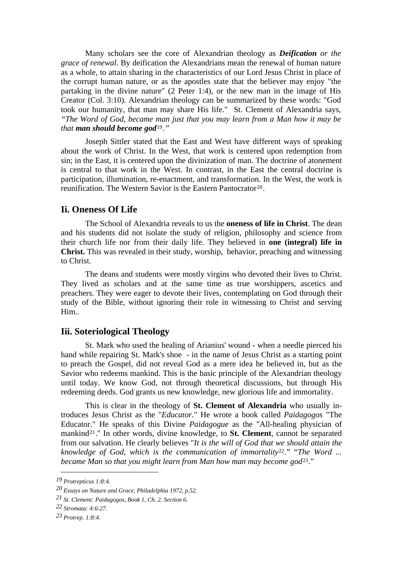Many scholars see the core of Alexandrian theology as *Deification or the grace of renewal.* By deification the Alexandrians mean the renewal of human nature as a whole, to attain sharing in the characteristics of our Lord Jesus Christ in place of the corrupt human nature, or as the apostles state that the believer may enjoy "the partaking in the divine nature" (2 Peter 1:4), or the new man in the image of His Creator (Col. 3:10). Alexandrian theology can be summarized by these words: "God took our humanity, that man may share His life." St. Clement of Alexandria says, *"The Word of God, became man just that you may learn from a Man how it may be that man should become god*[19](#page-3-0)*."* 

 Joseph Sittler stated that the East and West have different ways of speaking about the work of Christ. In the West, that work is centered upon redemption from sin; in the East, it is centered upon the divinization of man. The doctrine of atonement is central to that work in the West. In contrast, in the East the central doctrine is participation, illumination, re-enactment, and transformation. In the West, the work is reunification. The Western Savior is the Eastern Pantocrator<sup>[20](#page-3-1)</sup>.

## **Ii. Oneness Of Life**

 The School of Alexandria reveals to us the **oneness of life in Christ**. The dean and his students did not isolate the study of religion, philosophy and science from their church life nor from their daily life. They believed in **one (integral) life in Christ.** This was revealed in their study, worship, behavior, preaching and witnessing to Christ.

 The deans and students were mostly virgins who devoted their lives to Christ. They lived as scholars and at the same time as true worshippers, ascetics and preachers. They were eager to devote their lives, contemplating on God through their study of the Bible, without ignoring their role in witnessing to Christ and serving Him..

# **Iii. Soteriological Theology**

 St. Mark who used the healing of Arianius' wound - when a needle pierced his hand while repairing St. Mark's shoe - in the name of Jesus Christ as a starting point to preach the Gospel, did not reveal God as a mere idea he believed in, but as the Savior who redeems mankind. This is the basic principle of the Alexandrian theology until today. We know God, not through theoretical discussions, but through His redeeming deeds. God grants us new knowledge, new glorious life and immortality.

 This is clear in the theology of **St. Clement of Alexandria** who usually introduces Jesus Christ as the "*Educator*." He wrote a book called *Paidagogos* "The Educator." He speaks of this Divine *Paidagogue* as the "All-healing physician of mankind[21](#page-3-2).'' In other words, divine knowledge, to **St. Clement**, cannot be separated from our salvation. He clearly believes "*It is the will of God that we should attain the knowledge of God, which is the communication of immortality*[22](#page-3-3)*.*" "*The Word ... became Man so that you might learn from Man how man may become god*[23](#page-3-4)*.*"

<span id="page-3-0"></span>*<sup>19</sup> Protrepticus 1:8:4.* 

<span id="page-3-1"></span>*<sup>20</sup> Essays on Nature and Grace, Philadelphia 1972, p.52.* 

<span id="page-3-2"></span>*<sup>21</sup> St. Clement: Paidagogos, Book 1, Ch. 2. Section 6.* 

<span id="page-3-3"></span>*<sup>22</sup> Stromata: 4:6:27.* 

<span id="page-3-4"></span>*<sup>23</sup> Protrep. 1:8:4.*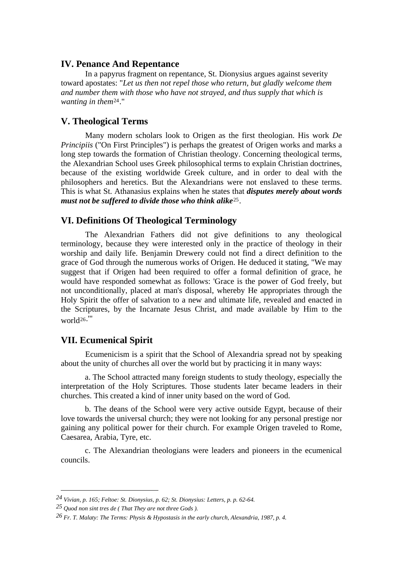## **IV. Penance And Repentance**

In a papyrus fragment on repentance, St. Dionysius argues against severity toward apostates: "*Let us then not repel those who return, but gladly welcome them and number them with those who have not strayed, and thus supply that which is wanting in them*[24](#page-4-0)."

## **V. Theological Terms**

 Many modern scholars look to Origen as the first theologian. His work *De Principiis* ("On First Principles") is perhaps the greatest of Origen works and marks a long step towards the formation of Christian theology. Concerning theological terms, the Alexandrian School uses Greek philosophical terms to explain Christian doctrines, because of the existing worldwide Greek culture, and in order to deal with the philosophers and heretics. But the Alexandrians were not enslaved to these terms. This is what St. Athanasius explains when he states that *disputes merely about words must not be suffered to divide those who think alike*[25](#page-4-1).

# **VI. Definitions Of Theological Terminology**

 The Alexandrian Fathers did not give definitions to any theological terminology, because they were interested only in the practice of theology in their worship and daily life. Benjamin Drewery could not find a direct definition to the grace of God through the numerous works of Origen. He deduced it stating, "We may suggest that if Origen had been required to offer a formal definition of grace, he would have responded somewhat as follows: 'Grace is the power of God freely, but not unconditionally, placed at man's disposal, whereby He appropriates through the Holy Spirit the offer of salvation to a new and ultimate life, revealed and enacted in the Scriptures, by the Incarnate Jesus Christ, and made available by Him to the worl[d26](#page-4-2).'"

## **VII. Ecumenical Spirit**

 Ecumenicism is a spirit that the School of Alexandria spread not by speaking about the unity of churches all over the world but by practicing it in many ways:

a. The School attracted many foreign students to study theology, especially the interpretation of the Holy Scriptures. Those students later became leaders in their churches. This created a kind of inner unity based on the word of God.

b. The deans of the School were very active outside Egypt, because of their love towards the universal church; they were not looking for any personal prestige nor gaining any political power for their church. For example Origen traveled to Rome, Caesarea, Arabia, Tyre, etc.

c. The Alexandrian theologians were leaders and pioneers in the ecumenical councils.

<span id="page-4-0"></span>*<sup>24</sup> Vivian, p. 165; Feltoe: St. Dionysius, p. 62; St. Dionysius: Letters, p. p. 62-64.* 

<span id="page-4-1"></span>*<sup>25</sup> Quod non sint tres de ( That They are not three Gods ).* 

<span id="page-4-2"></span>*<sup>26</sup> Fr. T. Malaty: The Terms: Physis & Hypostasis in the early church, Alexandria, 1987, p. 4.*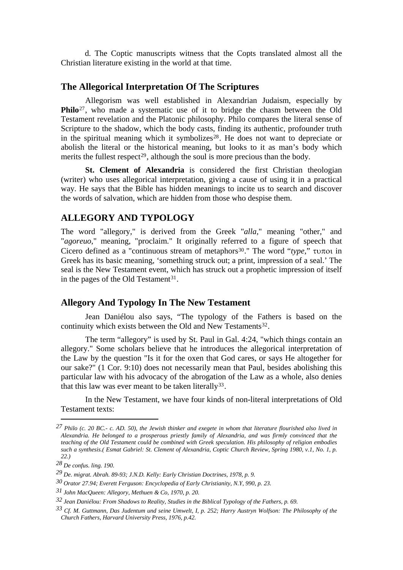d. The Coptic manuscripts witness that the Copts translated almost all the Christian literature existing in the world at that time.

## **The Allegorical Interpretation Of The Scriptures**

 Allegorism was well established in Alexandrian Judaism, especially by **Philo**<sup>[27](#page-5-0)</sup>, who made a systematic use of it to bridge the chasm between the Old Testament revelation and the Platonic philosophy. Philo compares the literal sense of Scripture to the shadow, which the body casts, finding its authentic, profounder truth in the spiritual meaning which it symbolizes<sup>[28](#page-5-1)</sup>. He does not want to depreciate or abolish the literal or the historical meaning, but looks to it as man's body which merits the fullest respect<sup>[29](#page-5-2)</sup>, although the soul is more precious than the body.

**St. Clement of Alexandria** is considered the first Christian theologian (writer) who uses allegorical interpretation, giving a cause of using it in a practical way. He says that the Bible has hidden meanings to incite us to search and discover the words of salvation, which are hidden from those who despise them.

# **ALLEGORY AND TYPOLOGY**

The word "allegory," is derived from the Greek "*alla,*" meaning "other," and "*agoreuo*," meaning, "proclaim." It originally referred to a figure of speech that Cicero defined as a "continuous stream of metaphor[s30](#page-5-3)." The word "*type*," τυποι in Greek has its basic meaning, 'something struck out; a print, impression of a seal.' The seal is the New Testament event, which has struck out a prophetic impression of itself in the pages of the Old Testament<sup>[31](#page-5-4)</sup>.

# **Allegory And Typology In The New Testament**

 Jean Daniélou also says, "The typology of the Fathers is based on the continuity which exists between the Old and New Testaments<sup>[32](#page-5-5)</sup>.

 The term "allegory" is used by St. Paul in Gal. 4:24, "which things contain an allegory." Some scholars believe that he introduces the allegorical interpretation of the Law by the question "Is it for the oxen that God cares, or says He altogether for our sake?" (1 Cor. 9:10) does not necessarily mean that Paul, besides abolishing this particular law with his advocacy of the abrogation of the Law as a whole, also denies that this law was ever meant to be taken literally<sup>[33](#page-5-6)</sup>.

 In the New Testament, we have four kinds of non-literal interpretations of Old Testament texts:

<span id="page-5-0"></span>*<sup>27</sup> Philo (c. 20 BC.- c. AD. 50), the Jewish thinker and exegete in whom that literature flourished also lived in Alexandria. He belonged to a prosperous priestly family of Alexandria, and was firmly convinced that the teaching of the Old Testament could be combined with Greek speculation. His philosophy of religion embodies such a synthesis.( Esmat Gabriel: St. Clement of Alexandria, Coptic Church Review, Spring 1980, v.1, No. 1, p. 22.)* 

<span id="page-5-1"></span>*<sup>28</sup> De confus. ling. 190.* 

<span id="page-5-2"></span>*<sup>29</sup> De. migrat. Abrah. 89-93; J.N.D. Kelly: Early Christian Doctrines, 1978, p. 9.* 

<span id="page-5-3"></span>*<sup>30</sup> Orator 27.94; Everett Ferguson: Encyclopedia of Early Christianity, N.Y, 990, p. 23.* 

<span id="page-5-4"></span>*<sup>31</sup> John MacQueen: Allegory, Methuen & Co, 1970, p. 20.* 

<span id="page-5-5"></span>*<sup>32</sup> Jean Daniélou: From Shadows to Reality, Studies in the Biblical Typology of the Fathers, p. 69.* 

<span id="page-5-6"></span>*<sup>33</sup> Cf. M. Guttmann, Das Judentum und seine Umwelt, I, p. 252; Harry Austryn Wolfson: The Philosophy of the Church Fathers, Harvard University Press, 1976, p.42.*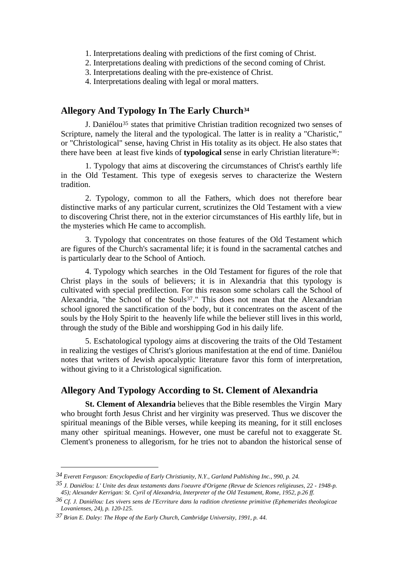- 1. Interpretations dealing with predictions of the first coming of Christ.
- 2. Interpretations dealing with predictions of the second coming of Christ.
- 3. Interpretations dealing with the pre-existence of Christ.
- 4. Interpretations dealing with legal or moral matters.

# **Allegory And Typology In The Early Church[34](#page-6-0)**

 J. Daniélou[35](#page-6-1) states that primitive Christian tradition recognized two senses of Scripture, namely the literal and the typological. The latter is in reality a "Charistic," or "Christological" sense, having Christ in His totality as its object. He also states that there have been at least five kinds of **typological** sense in early Christian literature[36](#page-6-2):

 1. Typology that aims at discovering the circumstances of Christ's earthly life in the Old Testament. This type of exegesis serves to characterize the Western tradition.

 2. Typology, common to all the Fathers, which does not therefore bear distinctive marks of any particular current, scrutinizes the Old Testament with a view to discovering Christ there, not in the exterior circumstances of His earthly life, but in the mysteries which He came to accomplish.

 3. Typology that concentrates on those features of the Old Testament which are figures of the Church's sacramental life; it is found in the sacramental catches and is particularly dear to the School of Antioch.

 4. Typology which searches in the Old Testament for figures of the role that Christ plays in the souls of believers; it is in Alexandria that this typology is cultivated with special predilection. For this reason some scholars call the School of Alexandria, "the School of the Souls<sup>[37](#page-6-3)</sup>." This does not mean that the Alexandrian school ignored the sanctification of the body, but it concentrates on the ascent of the souls by the Holy Spirit to the heavenly life while the believer still lives in this world, through the study of the Bible and worshipping God in his daily life.

 5. Eschatological typology aims at discovering the traits of the Old Testament in realizing the vestiges of Christ's glorious manifestation at the end of time. Daniélou notes that writers of Jewish apocalyptic literature favor this form of interpretation, without giving to it a Christological signification.

# **Allegory And Typology According to St. Clement of Alexandria**

 **St. Clement of Alexandria** believes that the Bible resembles the Virgin Mary who brought forth Jesus Christ and her virginity was preserved. Thus we discover the spiritual meanings of the Bible verses, while keeping its meaning, for it still encloses many other spiritual meanings. However, one must be careful not to exaggerate St. Clement's proneness to allegorism, for he tries not to abandon the historical sense of

<span id="page-6-0"></span>*<sup>34</sup> Everett Ferguson: Encyclopedia of Early Christianity, N.Y., Garland Publishing Inc., 990, p. 24.* 

<span id="page-6-1"></span>*<sup>35</sup> J. Daniélou: L' Unite des deux testaments dans l'oeuvre d'Origene (Revue de Sciences religieuses, 22 - 1948-p. 45); Alexander Kerrigan: St. Cyril of Alexandria, Interpreter of the Old Testament, Rome, 1952, p.26 ff.* 

<span id="page-6-2"></span>*<sup>36</sup> Cf. J. Daniélou: Les vivers sens de l'Ecrriture dans la radition chretienne primitive (Ephemerides theologicae Lovanienses, 24), p. 120-125.* 

<span id="page-6-3"></span>*<sup>37</sup> Brian E. Daley: The Hope of the Early Church, Cambridge University, 1991, p. 44.*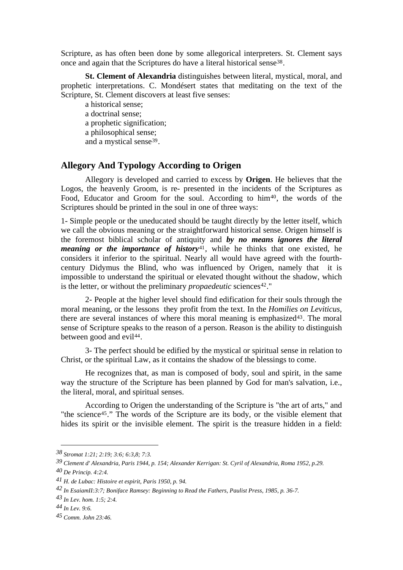Scripture, as has often been done by some allegorical interpreters. St. Clement says once and again that the Scriptures do have a literal historical sense<sup>[38](#page-7-0)</sup>.

 **St. Clement of Alexandria** distinguishes between literal, mystical, moral, and prophetic interpretations. C. Mondésert states that meditating on the text of the Scripture, St. Clement discovers at least five senses:

 a historical sense; a doctrinal sense; a prophetic signification; a philosophical sense; and a mystical sense<sup>[39](#page-7-1)</sup>.

# **Allegory And Typology According to Origen**

 Allegory is developed and carried to excess by **Origen**. He believes that the Logos, the heavenly Groom, is re- presented in the incidents of the Scriptures as Food, Educator and Groom for the soul. According to him<sup>[40](#page-7-2)</sup>, the words of the Scriptures should be printed in the soul in one of three ways:

1- Simple people or the uneducated should be taught directly by the letter itself, which we call the obvious meaning or the straightforward historical sense. Origen himself is the foremost biblical scholar of antiquity and *by no means ignores the literal meaning or the importance of history*<sup>[41](#page-7-3)</sup>, while he thinks that one existed, he considers it inferior to the spiritual. Nearly all would have agreed with the fourthcentury Didymus the Blind, who was influenced by Origen, namely that it is impossible to understand the spiritual or elevated thought without the shadow, which is the letter, or without the preliminary *propaedeutic* sciences<sup>[42](#page-7-4)</sup>."

 2- People at the higher level should find edification for their souls through the moral meaning, or the lessons they profit from the text. In the *Homilies on Leviticus,*  there are several instances of where this moral meaning is emphasized[43](#page-7-5). The moral sense of Scripture speaks to the reason of a person. Reason is the ability to distinguish between good and evil<sup>[44](#page-7-6)</sup>.

3- The perfect should be edified by the mystical or spiritual sense in relation to Christ, or the spiritual Law, as it contains the shadow of the blessings to come.

 He recognizes that, as man is composed of body, soul and spirit, in the same way the structure of the Scripture has been planned by God for man's salvation, i.e., the literal, moral, and spiritual senses.

 According to Origen the understanding of the Scripture is "the art of arts," and "the science<sup>[45](#page-7-7)</sup>." The words of the Scripture are its body, or the visible element that hides its spirit or the invisible element. The spirit is the treasure hidden in a field:

<span id="page-7-0"></span>*<sup>38</sup> Stromat 1:21; 2:19; 3:6; 6:3,8; 7:3.* 

<span id="page-7-2"></span><span id="page-7-1"></span>*<sup>39</sup> Clement d' Alexandria, Paris 1944, p. 154; Alexander Kerrigan: St. Cyril of Alexandria, Roma 1952, p.29. 40 De Princip. 4:2:4.* 

<span id="page-7-3"></span>*<sup>41</sup> H. de Lubac: Histoire et espirit, Paris 1950, p. 94.* 

<span id="page-7-4"></span>*<sup>42</sup> In EsaiamII:3:7; Boniface Ramsey: Beginning to Read the Fathers, Paulist Press, 1985, p. 36-7.* 

<span id="page-7-5"></span>*<sup>43</sup> In Lev. hom. 1:5; 2:4.* 

<span id="page-7-6"></span>*<sup>44</sup> In Lev. 9:6.* 

<span id="page-7-7"></span>*<sup>45</sup> Comm. John 23:46.*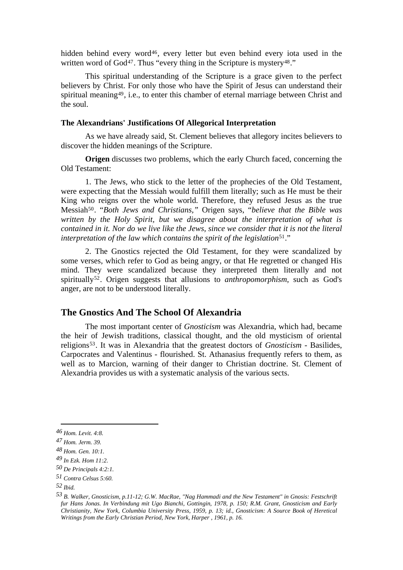hidden behind every word<sup>[46](#page-8-0)</sup>, every letter but even behind every iota used in the written word of God<sup>[47](#page-8-1)</sup>. Thus "every thing in the Scripture is mystery<sup>[48](#page-8-2)</sup>."

 This spiritual understanding of the Scripture is a grace given to the perfect believers by Christ. For only those who have the Spirit of Jesus can understand their spiritual meaning<sup>[49](#page-8-3)</sup>, i.e., to enter this chamber of eternal marriage between Christ and the soul.

## **The Alexandrians' Justifications Of Allegorical Interpretation**

As we have already said, St. Clement believes that allegory incites believers to discover the hidden meanings of the Scripture.

**Origen** discusses two problems, which the early Church faced, concerning the Old Testament:

1. The Jews, who stick to the letter of the prophecies of the Old Testament, were expecting that the Messiah would fulfill them literally; such as He must be their King who reigns over the whole world. Therefore, they refused Jesus as the true Messia[h50](#page-8-4). "*Both Jews and Christians,"* Origen says, "*believe that the Bible was written by the Holy Spirit, but we disagree about the interpretation of what is contained in it. Nor do we live like the Jews, since we consider that it is not the literal interpretation of the law which contains the spirit of the legislation*<sup>[51](#page-8-5)</sup>."

2. The Gnostics rejected the Old Testament, for they were scandalized by some verses, which refer to God as being angry, or that He regretted or changed His mind. They were scandalized because they interpreted them literally and not spiritually[52](#page-8-6). Origen suggests that allusions to *anthropomorphism*, such as God's anger, are not to be understood literally.

## **The Gnostics And The School Of Alexandria**

 The most important center of *Gnosticism* was Alexandria, which had, became the heir of Jewish traditions, classical thought, and the old mysticism of oriental religion[s53](#page-8-7). It was in Alexandria that the greatest doctors of *Gnosticism* - Basilides, Carpocrates and Valentinus - flourished. St. Athanasius frequently refers to them, as well as to Marcion, warning of their danger to Christian doctrine. St. Clement of Alexandria provides us with a systematic analysis of the various sects.

<span id="page-8-0"></span>*<sup>46</sup> Hom. Levit. 4:8.* 

<span id="page-8-1"></span>*<sup>47</sup> Hom. Jerm. 39.* 

<span id="page-8-2"></span>*<sup>48</sup> Hom. Gen. 10:1.* 

<span id="page-8-3"></span>*<sup>49</sup> In Ezk. Hom 11:2.* 

<span id="page-8-4"></span>*<sup>50</sup> De Principals 4:2:1.* 

<span id="page-8-5"></span>*<sup>51</sup> Contra Celsus 5:60.* 

<span id="page-8-6"></span>*<sup>52</sup> Ibid.* 

<span id="page-8-7"></span>*<sup>53</sup> B. Walker, Gnosticism, p.11-12; G.W. MacRae, "Nag Hammadi and the New Testament" in Gnosis: Festschrift fur Hans Jonas. In Verbindung mit Ugo Bianchi, Gottingin, 1978, p. 150; R.M. Grant, Gnosticism and Early Christianity, New York, Columbia University Press, 1959, p. 13; id., Gnosticism: A Source Book of Heretical Writings from the Early Christian Period, New York, Harper , 1961, p. 16.*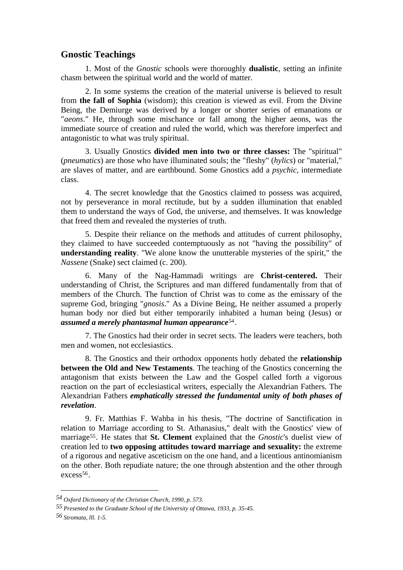# **Gnostic Teachings**

 1. Most of the *Gnostic* schools were thoroughly **dualistic**, setting an infinite chasm between the spiritual world and the world of matter.

 2. In some systems the creation of the material universe is believed to result from **the fall of Sophia** (wisdom); this creation is viewed as evil. From the Divine Being, the Demiurge was derived by a longer or shorter series of emanations or "*aeons*." He, through some mischance or fall among the higher aeons, was the immediate source of creation and ruled the world, which was therefore imperfect and antagonistic to what was truly spiritual.

 3. Usually Gnostics **divided men into two or three classes:** The "spiritual" (*pneumatics*) are those who have illuminated souls; the "fleshy" (*hylics*) or "material," are slaves of matter, and are earthbound. Some Gnostics add a *psychic,* intermediate class.

 4. The secret knowledge that the Gnostics claimed to possess was acquired, not by perseverance in moral rectitude, but by a sudden illumination that enabled them to understand the ways of God, the universe, and themselves. It was knowledge that freed them and revealed the mysteries of truth.

 5. Despite their reliance on the methods and attitudes of current philosophy, they claimed to have succeeded contemptuously as not "having the possibility" of **understanding reality**. "We alone know the unutterable mysteries of the spirit," the *Nassene* (Snake) sect claimed (c. 200).

 6. Many of the Nag-Hammadi writings are **Christ-centered.** Their understanding of Christ, the Scriptures and man differed fundamentally from that of members of the Church. The function of Christ was to come as the emissary of the supreme God, bringing "*gnosis*." As a Divine Being, He neither assumed a properly human body nor died but either temporarily inhabited a human being (Jesus) or *assumed a merely phantasmal human appearance*[54](#page-9-0).

 7. The Gnostics had their order in secret sects. The leaders were teachers, both men and women, not ecclesiastics.

8. The Gnostics and their orthodox opponents hotly debated the **relationship between the Old and New Testaments**. The teaching of the Gnostics concerning the antagonism that exists between the Law and the Gospel called forth a vigorous reaction on the part of ecclesiastical writers, especially the Alexandrian Fathers. The Alexandrian Fathers *emphatically stressed the fundamental unity of both phases of revelation*.

 9. Fr. Matthias F. Wahba in his thesis, "The doctrine of Sanctification in relation to Marriage according to St. Athanasius," dealt with the Gnostics' view of marriage[55](#page-9-1). He states that **St. Clement** explained that the *Gnostic*'s duelist view of creation led to **two opposing attitudes toward marriage and sexuality:** the extreme of a rigorous and negative asceticism on the one hand, and a licentious antinomianism on the other. Both repudiate nature; the one through abstention and the other through  $excess<sup>56</sup>$  $excess<sup>56</sup>$  $excess<sup>56</sup>$ .

<span id="page-9-0"></span>*<sup>54</sup> Oxford Dictionary of the Christian Church, 1990, p. 573.* 

<span id="page-9-1"></span>*<sup>55</sup> Presented to the Graduate School of the University of Ottawa, 1933, p. 35-45.* 

<span id="page-9-2"></span>*<sup>56</sup> Stromata, lll. 1-5.*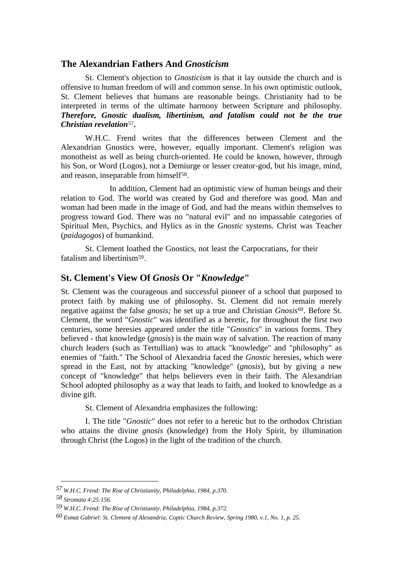# **The Alexandrian Fathers And** *Gnosticism*

 St. Clement's objection to *Gnosticism* is that it lay outside the church and is offensive to human freedom of will and common sense. In his own optimistic outlook, St. Clement believes that humans are reasonable beings. Christianity had to be interpreted in terms of the ultimate harmony between Scripture and philosophy. *Therefore, Gnostic dualism, libertinism, and fatalism could not be the true Christian revelation*[57](#page-10-0)*.* 

W.H.C. Frend writes that the differences between Clement and the Alexandrian Gnostics were, however, equally important. Clement's religion was monotheist as well as being church-oriented. He could be known, however, through his Son, or Word (Logos), not a Demiurge or lesser creator-god, but his image, mind, and reason, inseparable from himself[58](#page-10-1).

 In addition, Clement had an optimistic view of human beings and their relation to God. The world was created by God and therefore was good. Man and woman had been made in the image of God, and had the means within themselves to progress toward God. There was no "natural evil" and no impassable categories of Spiritual Men, Psychics, and Hylics as in the *Gnostic* systems. Christ was Teacher (*paidagogos*) of humankind.

 St. Clement loathed the Gnostics, not least the Carpocratians, for their fatalism and libertinism<sup>59</sup>.

# **St. Clement's View Of** *Gnosis* **Or "***Knowledge***"**

St. Clement was the courageous and successful pioneer of a school that purposed to protect faith by making use of philosophy. St. Clement did not remain merely negative against the false *gnosis;* he set up a true and Christian *Gnosis*[60](#page-10-3). Before St. Clement, the word "*Gnostic*" was identified as a heretic, for throughout the first two centuries, some heresies appeared under the title "*Gnostics*" in various forms. They believed - that knowledge (*gnosis*) is the main way of salvation. The reaction of many church leaders (such as Tertullian) was to attack "knowledge" and "philosophy" as enemies of "faith." The School of Alexandria faced the *Gnostic* heresies, which were spread in the East, not by attacking "knowledge" (*gnosis*), but by giving a new concept of "knowledge" that helps believers even in their faith. The Alexandrian School adopted philosophy as a way that leads to faith, and looked to knowledge as a divine gift.

St. Clement of Alexandria emphasizes the following:

I. The title "*Gnostic*" does not refer to a heretic but to the orthodox Christian who attains the divine *gnosis* (knowledge) from the Holy Spirit, by illumination through Christ (the Logos) in the light of the tradition of the church.

<span id="page-10-0"></span>*<sup>57</sup> W.H.C. Frend: The Rise of Christianity, Philadelphia, 1984, p.370.* 

<span id="page-10-1"></span>*<sup>58</sup> Stromata 4:25:156.* 

<span id="page-10-2"></span>*<sup>59</sup> W.H.C. Frend: The Rise of Christianity, Philadelphia, 1984, p.372.* 

<span id="page-10-3"></span>*<sup>60</sup> Esmat Gabriel: St. Clement of Alexandria, Coptic Church Review, Spring 1980, v.1, No. 1, p. 25.*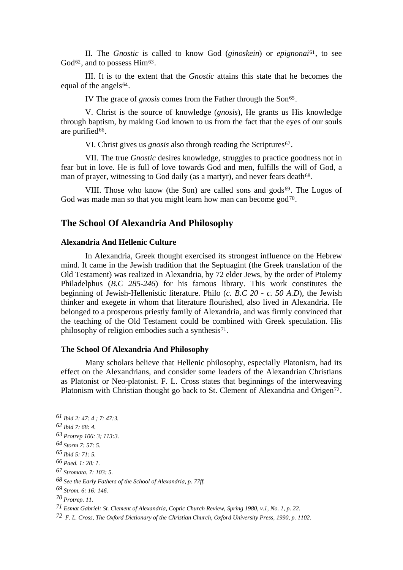II. The *Gnostic* is called to know God (*ginoskein*) or *epignonai*[61](#page-11-0), to see God<sup>[62](#page-11-1)</sup>, and to possess Him<sup>63</sup>.

 III. It is to the extent that the *Gnostic* attains this state that he becomes the equal of the angels $64$ .

IV The grace of *gnosis* comes from the Father through the Son<sup>[65](#page-11-3)</sup>.

 V. Christ is the source of knowledge (*gnosis*), He grants us His knowledge through baptism, by making God known to us from the fact that the eyes of our souls are purified<sup>[66](#page-11-4)</sup>.

VI. Christ gives us *gnosis* also through reading the Scriptures<sup>[67](#page-11-5)</sup>.

 VII. The true *Gnostic* desires knowledge, struggles to practice goodness not in fear but in love. He is full of love towards God and men, fulfills the will of God, a man of prayer, witnessing to God daily (as a martyr), and never fears death<sup>[68](#page-11-6)</sup>.

God was made man so that you might learn how man can become  $\text{god}^{\tau_0}$ . VIII. Those who know (the Son) are called sons and gods $69$ . The Logos of

# **The School Of Alexandria And Philosophy**

#### **Alexandria And Hellenic Culture**

 In Alexandria, Greek thought exercised its strongest influence on the Hebrew mind. It came in the Jewish tradition that the Septuagint (the Greek translation of the Old Testament) was realized in Alexandria, by 72 elder Jews, by the order of Ptolemy Philadelphus (*B.C 285-246*) for his famous library. This work constitutes the beginning of Jewish-Hellenistic literature. Philo (*c. B.C 20 - c. 50 A.D*), the Jewish thinker and exegete in whom that literature flourished, also lived in Alexandria. He belonged to a prosperous priestly family of Alexandria, and was firmly convinced that the teaching of the Old Testament could be combined with Greek speculation. His philosophy of religion embodies such a synthesis<sup>[71](#page-11-8)</sup>.

#### **The School Of Alexandria And Philosophy**

 Many scholars believe that Hellenic philosophy, especially Platonism, had its effect on the Alexandrians, and consider some leaders of the Alexandrian Christians as Platonist or Neo-platonist. F. L. Cross states that beginnings of the interweaving Platonism with Christian thought go back to St. Clement of Alexandria and Origen<sup>[72](#page-11-9)</sup>.

<span id="page-11-0"></span>*<sup>61</sup> Ibid 2: 47: 4 ; 7: 47:3.* 

<span id="page-11-1"></span>*<sup>62</sup> Ibid 7: 68: 4.* 

*<sup>63</sup> Protrep 106: 3; 113:3.* 

<span id="page-11-2"></span>*<sup>64</sup> Storm 7: 57: 5.* 

<span id="page-11-3"></span>*<sup>65</sup> Ibid 5: 71: 5.* 

<span id="page-11-4"></span>*<sup>66</sup> Paed. 1: 28: 1.* 

<span id="page-11-5"></span>*<sup>67</sup> Stromata. 7: 103: 5.* 

<span id="page-11-6"></span>*<sup>68</sup> See the Early Fathers of the School of Alexandria, p. 77ff.* 

<span id="page-11-7"></span>*<sup>69</sup> Strom. 6: 16: 146.* 

*<sup>70</sup> Protrep. 11.* 

<span id="page-11-8"></span>*<sup>71</sup> Esmat Gabriel: St. Clement of Alexandria, Coptic Church Review, Spring 1980, v.1, No. 1, p. 22.* 

<span id="page-11-9"></span>*<sup>72</sup> F. L. Cross, The Oxford Dictionary of the Christian Church, Oxford University Press, 1990, p. 1102.*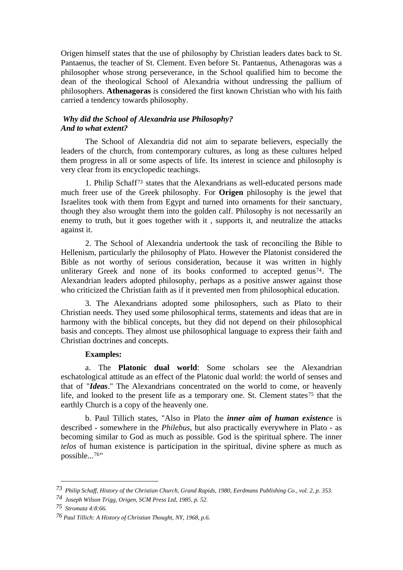Origen himself states that the use of philosophy by Christian leaders dates back to St. Pantaenus, the teacher of St. Clement. Even before St. Pantaenus, Athenagoras was a philosopher whose strong perseverance, in the School qualified him to become the dean of the theological School of Alexandria without undressing the pallium of philosophers. **Athenagoras** is considered the first known Christian who with his faith carried a tendency towards philosophy.

## *Why did the School of Alexandria use Philosophy? And to what extent?*

The School of Alexandria did not aim to separate believers, especially the leaders of the church, from contemporary cultures, as long as these cultures helped them progress in all or some aspects of life. Its interest in science and philosophy is very clear from its encyclopedic teachings.

 1. Philip Schaff[73](#page-12-0) states that the Alexandrians as well-educated persons made much freer use of the Greek philosophy. For **Origen** philosophy is the jewel that Israelites took with them from Egypt and turned into ornaments for their sanctuary, though they also wrought them into the golden calf. Philosophy is not necessarily an enemy to truth, but it goes together with it , supports it, and neutralize the attacks against it.

 2. The School of Alexandria undertook the task of reconciling the Bible to Hellenism, particularly the philosophy of Plato. However the Platonist considered the Bible as not worthy of serious consideration, because it was written in highly unliterary Greek and none of its books conformed to accepted genus<sup>[74](#page-12-1)</sup>. The Alexandrian leaders adopted philosophy, perhaps as a positive answer against those who criticized the Christian faith as if it prevented men from philosophical education.

 3. The Alexandrians adopted some philosophers, such as Plato to their Christian needs. They used some philosophical terms, statements and ideas that are in harmony with the biblical concepts, but they did not depend on their philosophical basis and concepts. They almost use philosophical language to express their faith and Christian doctrines and concepts.

## **Examples:**

a. The **Platonic dual world**: Some scholars see the Alexandrian eschatological attitude as an effect of the Platonic dual world: the world of senses and that of "*Ideas*." The Alexandrians concentrated on the world to come, or heavenly life, and looked to the present life as a temporary one. St. Clement states<sup>[75](#page-12-2)</sup> that the earthly Church is a copy of the heavenly one.

b. Paul Tillich states, "Also in Plato the *inner aim of human existenc*e is described - somewhere in the *Philebus*, but also practically everywhere in Plato - as becoming similar to God as much as possible. God is the spiritual sphere. The inner *telos* of human existence is participation in the spiritual, divine sphere as much as possible...[76](#page-12-3)"

<span id="page-12-0"></span>*<sup>73</sup> Philip Schaff, History of the Christian Church, Grand Rapids, 1980, Eerdmans Publishing Co., vol. 2, p. 353.* 

<span id="page-12-1"></span>*<sup>74</sup> Joseph Wilson Trigg, Origen, SCM Press Ltd, 1985, p. 52.* 

<span id="page-12-2"></span>*<sup>75</sup> Stromata 4:8:66.* 

<span id="page-12-3"></span>*<sup>76</sup> Paul Tillich: A History of Christian Thought, NY, 1968, p.6.*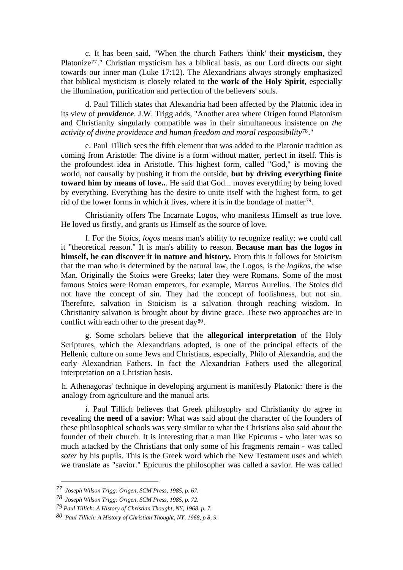c. It has been said, "When the church Fathers 'think' their **mysticism**, they Platonize<sup>[77](#page-13-0)</sup>." Christian mysticism has a biblical basis, as our Lord directs our sight towards our inner man (Luke 17:12). The Alexandrians always strongly emphasized that biblical mysticism is closely related to **the work of the Holy Spirit**, especially the illumination, purification and perfection of the believers' souls.

 d. Paul Tillich states that Alexandria had been affected by the Platonic idea in its view of *providence*. J.W. Trigg adds, "Another area where Origen found Platonism and Christianity singularly compatible was in their simultaneous insistence on *the activity of divine providence and human freedom and moral responsibility*[78](#page-13-1)."

 e. Paul Tillich sees the fifth element that was added to the Platonic tradition as coming from Aristotle: The divine is a form without matter, perfect in itself. This is the profoundest idea in Aristotle. This highest form, called "God," is moving the world, not causally by pushing it from the outside, **but by driving everything finite toward him by means of love..**. He said that God... moves everything by being loved by everything. Everything has the desire to unite itself with the highest form, to get rid of the lower forms in which it lives, where it is in the bondage of matter[79](#page-13-2).

 Christianity offers The Incarnate Logos, who manifests Himself as true love. He loved us firstly, and grants us Himself as the source of love.

 f. For the Stoics, *logos* means man's ability to recognize reality; we could call it "theoretical reason." It is man's ability to reason. **Because man has the logos in himself, he can discover it in nature and history.** From this it follows for Stoicism that the man who is determined by the natural law, the Logos, is the *logikos*, the wise Man. Originally the Stoics were Greeks; later they were Romans. Some of the most famous Stoics were Roman emperors, for example, Marcus Aurelius. The Stoics did not have the concept of sin. They had the concept of foolishness, but not sin. Therefore, salvation in Stoicism is a salvation through reaching wisdom. In Christianity salvation is brought about by divine grace. These two approaches are in conflict with each other to the present day<sup>[80](#page-13-3)</sup>.

 g. Some scholars believe that the **allegorical interpretation** of the Holy Scriptures, which the Alexandrians adopted, is one of the principal effects of the Hellenic culture on some Jews and Christians, especially, Philo of Alexandria, and the early Alexandrian Fathers. In fact the Alexandrian Fathers used the allegorical interpretation on a Christian basis.

 h. Athenagoras' technique in developing argument is manifestly Platonic: there is the analogy from agriculture and the manual arts.

 i. Paul Tillich believes that Greek philosophy and Christianity do agree in revealing **the need of a savior**: What was said about the character of the founders of these philosophical schools was very similar to what the Christians also said about the founder of their church. It is interesting that a man like Epicurus - who later was so much attacked by the Christians that only some of his fragments remain - was called *soter* by his pupils. This is the Greek word which the New Testament uses and which we translate as "savior." Epicurus the philosopher was called a savior. He was called

<span id="page-13-0"></span>*<sup>77</sup> Joseph Wilson Trigg: Origen, SCM Press, 1985, p. 67.* 

<span id="page-13-1"></span>*<sup>78</sup> Joseph Wilson Trigg: Origen, SCM Press, 1985, p. 72.* 

<span id="page-13-2"></span>*<sup>79</sup> Paul Tillich: A History of Christian Thought, NY, 1968, p. 7.* 

<span id="page-13-3"></span>*<sup>80</sup> Paul Tillich: A History of Christian Thought, NY, 1968, p 8, 9.*